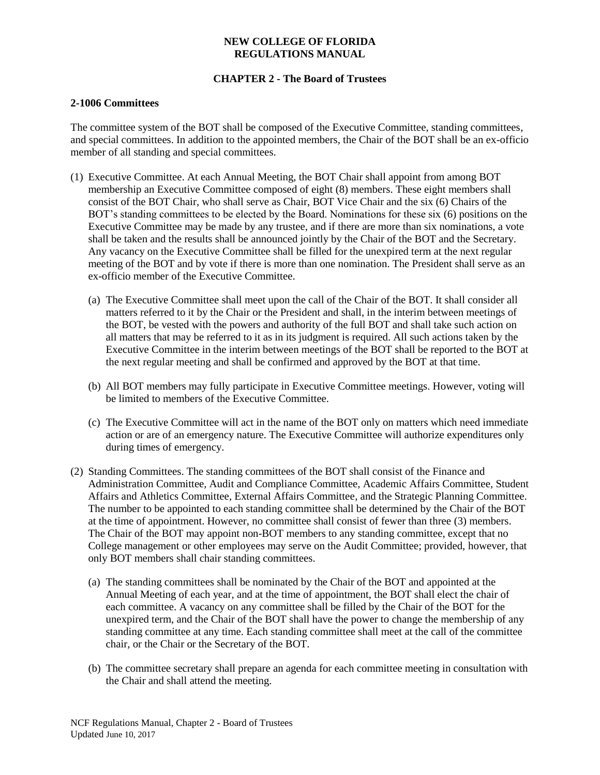# **CHAPTER 2 - The Board of Trustees**

### **2-1006 Committees**

The committee system of the BOT shall be composed of the Executive Committee, standing committees, and special committees. In addition to the appointed members, the Chair of the BOT shall be an ex-officio member of all standing and special committees.

- (1) Executive Committee. At each Annual Meeting, the BOT Chair shall appoint from among BOT membership an Executive Committee composed of eight (8) members. These eight members shall consist of the BOT Chair, who shall serve as Chair, BOT Vice Chair and the six (6) Chairs of the BOT's standing committees to be elected by the Board. Nominations for these six (6) positions on the Executive Committee may be made by any trustee, and if there are more than six nominations, a vote shall be taken and the results shall be announced jointly by the Chair of the BOT and the Secretary. Any vacancy on the Executive Committee shall be filled for the unexpired term at the next regular meeting of the BOT and by vote if there is more than one nomination. The President shall serve as an ex-officio member of the Executive Committee.
	- (a) The Executive Committee shall meet upon the call of the Chair of the BOT. It shall consider all matters referred to it by the Chair or the President and shall, in the interim between meetings of the BOT, be vested with the powers and authority of the full BOT and shall take such action on all matters that may be referred to it as in its judgment is required. All such actions taken by the Executive Committee in the interim between meetings of the BOT shall be reported to the BOT at the next regular meeting and shall be confirmed and approved by the BOT at that time.
	- (b) All BOT members may fully participate in Executive Committee meetings. However, voting will be limited to members of the Executive Committee.
	- (c) The Executive Committee will act in the name of the BOT only on matters which need immediate action or are of an emergency nature. The Executive Committee will authorize expenditures only during times of emergency.
- (2) Standing Committees. The standing committees of the BOT shall consist of the Finance and Administration Committee, Audit and Compliance Committee, Academic Affairs Committee, Student Affairs and Athletics Committee, External Affairs Committee, and the Strategic Planning Committee. The number to be appointed to each standing committee shall be determined by the Chair of the BOT at the time of appointment. However, no committee shall consist of fewer than three (3) members. The Chair of the BOT may appoint non-BOT members to any standing committee, except that no College management or other employees may serve on the Audit Committee; provided, however, that only BOT members shall chair standing committees.
	- (a) The standing committees shall be nominated by the Chair of the BOT and appointed at the Annual Meeting of each year, and at the time of appointment, the BOT shall elect the chair of each committee. A vacancy on any committee shall be filled by the Chair of the BOT for the unexpired term, and the Chair of the BOT shall have the power to change the membership of any standing committee at any time. Each standing committee shall meet at the call of the committee chair, or the Chair or the Secretary of the BOT.
	- (b) The committee secretary shall prepare an agenda for each committee meeting in consultation with the Chair and shall attend the meeting.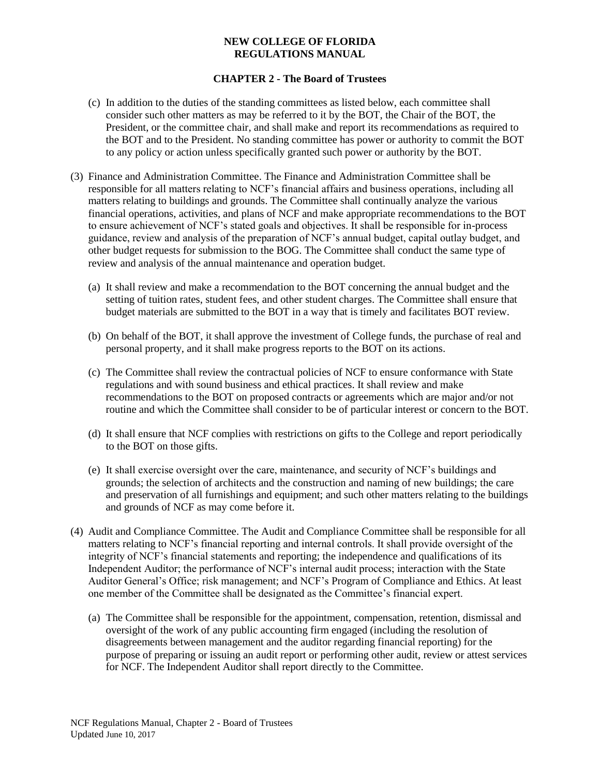# **CHAPTER 2 - The Board of Trustees**

- (c) In addition to the duties of the standing committees as listed below, each committee shall consider such other matters as may be referred to it by the BOT, the Chair of the BOT, the President, or the committee chair, and shall make and report its recommendations as required to the BOT and to the President. No standing committee has power or authority to commit the BOT to any policy or action unless specifically granted such power or authority by the BOT.
- (3) Finance and Administration Committee. The Finance and Administration Committee shall be responsible for all matters relating to NCF's financial affairs and business operations, including all matters relating to buildings and grounds. The Committee shall continually analyze the various financial operations, activities, and plans of NCF and make appropriate recommendations to the BOT to ensure achievement of NCF's stated goals and objectives. It shall be responsible for in-process guidance, review and analysis of the preparation of NCF's annual budget, capital outlay budget, and other budget requests for submission to the BOG. The Committee shall conduct the same type of review and analysis of the annual maintenance and operation budget.
	- (a) It shall review and make a recommendation to the BOT concerning the annual budget and the setting of tuition rates, student fees, and other student charges. The Committee shall ensure that budget materials are submitted to the BOT in a way that is timely and facilitates BOT review.
	- (b) On behalf of the BOT, it shall approve the investment of College funds, the purchase of real and personal property, and it shall make progress reports to the BOT on its actions.
	- (c) The Committee shall review the contractual policies of NCF to ensure conformance with State regulations and with sound business and ethical practices. It shall review and make recommendations to the BOT on proposed contracts or agreements which are major and/or not routine and which the Committee shall consider to be of particular interest or concern to the BOT.
	- (d) It shall ensure that NCF complies with restrictions on gifts to the College and report periodically to the BOT on those gifts.
	- (e) It shall exercise oversight over the care, maintenance, and security of NCF's buildings and grounds; the selection of architects and the construction and naming of new buildings; the care and preservation of all furnishings and equipment; and such other matters relating to the buildings and grounds of NCF as may come before it.
- (4) Audit and Compliance Committee. The Audit and Compliance Committee shall be responsible for all matters relating to NCF's financial reporting and internal controls. It shall provide oversight of the integrity of NCF's financial statements and reporting; the independence and qualifications of its Independent Auditor; the performance of NCF's internal audit process; interaction with the State Auditor General's Office; risk management; and NCF's Program of Compliance and Ethics. At least one member of the Committee shall be designated as the Committee's financial expert.
	- (a) The Committee shall be responsible for the appointment, compensation, retention, dismissal and oversight of the work of any public accounting firm engaged (including the resolution of disagreements between management and the auditor regarding financial reporting) for the purpose of preparing or issuing an audit report or performing other audit, review or attest services for NCF. The Independent Auditor shall report directly to the Committee.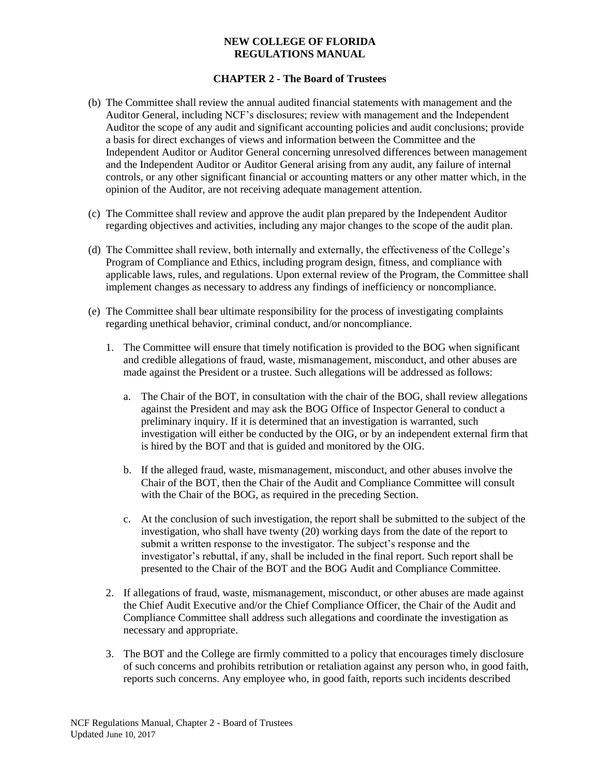# **CHAPTER 2 - The Board of Trustees**

- (b) The Committee shall review the annual audited financial statements with management and the Auditor General, including NCF's disclosures; review with management and the Independent Auditor the scope of any audit and significant accounting policies and audit conclusions; provide a basis for direct exchanges of views and information between the Committee and the Independent Auditor or Auditor General concerning unresolved differences between management and the Independent Auditor or Auditor General arising from any audit, any failure of internal controls, or any other significant financial or accounting matters or any other matter which, in the opinion of the Auditor, are not receiving adequate management attention.
- (c) The Committee shall review and approve the audit plan prepared by the Independent Auditor regarding objectives and activities, including any major changes to the scope of the audit plan.
- (d) The Committee shall review, both internally and externally, the effectiveness of the College's Program of Compliance and Ethics, including program design, fitness, and compliance with applicable laws, rules, and regulations. Upon external review of the Program, the Committee shall implement changes as necessary to address any findings of inefficiency or noncompliance.
- (e) The Committee shall bear ultimate responsibility for the process of investigating complaints regarding unethical behavior, criminal conduct, and/or noncompliance.
	- 1. The Committee will ensure that timely notification is provided to the BOG when significant and credible allegations of fraud, waste, mismanagement, misconduct, and other abuses are made against the President or a trustee. Such allegations will be addressed as follows:
		- a. The Chair of the BOT, in consultation with the chair of the BOG, shall review allegations against the President and may ask the BOG Office of Inspector General to conduct a preliminary inquiry. If it is determined that an investigation is warranted, such investigation will either be conducted by the OIG, or by an independent external firm that is hired by the BOT and that is guided and monitored by the OIG.
		- b. If the alleged fraud, waste, mismanagement, misconduct, and other abuses involve the Chair of the BOT, then the Chair of the Audit and Compliance Committee will consult with the Chair of the BOG, as required in the preceding Section.
		- c. At the conclusion of such investigation, the report shall be submitted to the subject of the investigation, who shall have twenty (20) working days from the date of the report to submit a written response to the investigator. The subject's response and the investigator's rebuttal, if any, shall be included in the final report. Such report shall be presented to the Chair of the BOT and the BOG Audit and Compliance Committee.
	- 2. If allegations of fraud, waste, mismanagement, misconduct, or other abuses are made against the Chief Audit Executive and/or the Chief Compliance Officer, the Chair of the Audit and Compliance Committee shall address such allegations and coordinate the investigation as necessary and appropriate.
	- 3. The BOT and the College are firmly committed to a policy that encourages timely disclosure of such concerns and prohibits retribution or retaliation against any person who, in good faith, reports such concerns. Any employee who, in good faith, reports such incidents described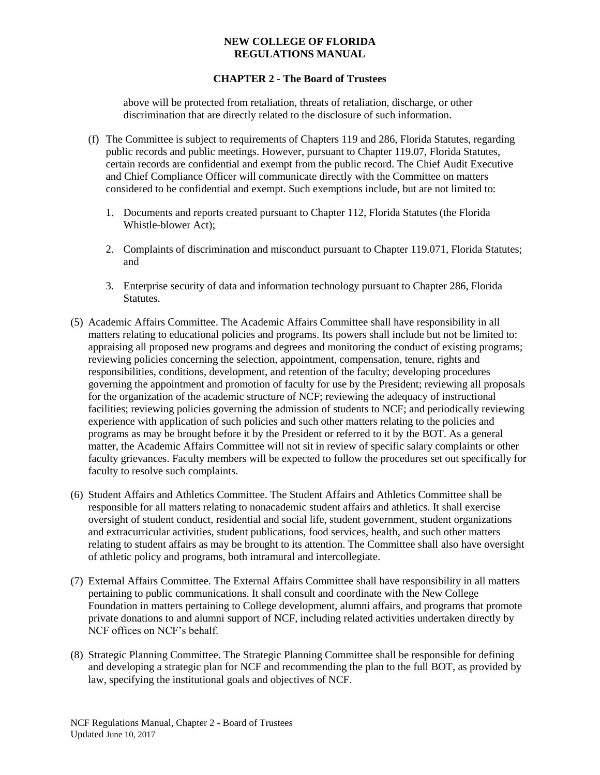# **CHAPTER 2 - The Board of Trustees**

above will be protected from retaliation, threats of retaliation, discharge, or other discrimination that are directly related to the disclosure of such information.

- (f) The Committee is subject to requirements of Chapters 119 and 286, Florida Statutes, regarding public records and public meetings. However, pursuant to Chapter 119.07, Florida Statutes, certain records are confidential and exempt from the public record. The Chief Audit Executive and Chief Compliance Officer will communicate directly with the Committee on matters considered to be confidential and exempt. Such exemptions include, but are not limited to:
	- 1. Documents and reports created pursuant to Chapter 112, Florida Statutes (the Florida Whistle-blower Act);
	- 2. Complaints of discrimination and misconduct pursuant to Chapter 119.071, Florida Statutes; and
	- 3. Enterprise security of data and information technology pursuant to Chapter 286, Florida **Statutes**
- (5) Academic Affairs Committee. The Academic Affairs Committee shall have responsibility in all matters relating to educational policies and programs. Its powers shall include but not be limited to: appraising all proposed new programs and degrees and monitoring the conduct of existing programs; reviewing policies concerning the selection, appointment, compensation, tenure, rights and responsibilities, conditions, development, and retention of the faculty; developing procedures governing the appointment and promotion of faculty for use by the President; reviewing all proposals for the organization of the academic structure of NCF; reviewing the adequacy of instructional facilities; reviewing policies governing the admission of students to NCF; and periodically reviewing experience with application of such policies and such other matters relating to the policies and programs as may be brought before it by the President or referred to it by the BOT. As a general matter, the Academic Affairs Committee will not sit in review of specific salary complaints or other faculty grievances. Faculty members will be expected to follow the procedures set out specifically for faculty to resolve such complaints.
- (6) Student Affairs and Athletics Committee. The Student Affairs and Athletics Committee shall be responsible for all matters relating to nonacademic student affairs and athletics. It shall exercise oversight of student conduct, residential and social life, student government, student organizations and extracurricular activities, student publications, food services, health, and such other matters relating to student affairs as may be brought to its attention. The Committee shall also have oversight of athletic policy and programs, both intramural and intercollegiate.
- (7) External Affairs Committee. The External Affairs Committee shall have responsibility in all matters pertaining to public communications. It shall consult and coordinate with the New College Foundation in matters pertaining to College development, alumni affairs, and programs that promote private donations to and alumni support of NCF, including related activities undertaken directly by NCF offices on NCF's behalf.
- (8) Strategic Planning Committee. The Strategic Planning Committee shall be responsible for defining and developing a strategic plan for NCF and recommending the plan to the full BOT, as provided by law, specifying the institutional goals and objectives of NCF.